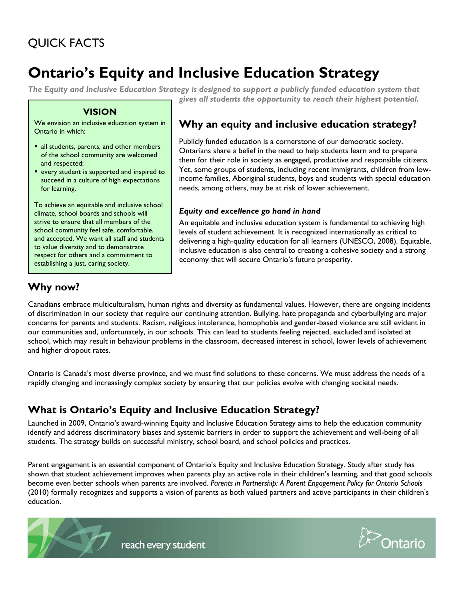## QUICK FACTS

# **Ontario's Equity and Inclusive Education Strategy**

*The Equity and Inclusive Education Strategy is designed to support a publicly funded education system that gives all students the opportunity to reach their highest potential.*

#### **VISION**

We envision an inclusive education system in Ontario in which:

- all students, parents, and other members of the school community are welcomed and respected;
- **e** every student is supported and inspired to succeed in a culture of high expectations for learning.

To achieve an equitable and inclusive school climate, school boards and schools will strive to ensure that all members of the school community feel safe, comfortable, and accepted. We want all staff and students to value diversity and to demonstrate respect for others and a commitment to establishing a just, caring society.

#### **Why an equity and inclusive education strategy?**

Publicly funded education is a cornerstone of our democratic society. Ontarians share a belief in the need to help students learn and to prepare them for their role in society as engaged, productive and responsible citizens. Yet, some groups of students, including recent immigrants, children from lowincome families, Aboriginal students, boys and students with special education needs, among others, may be at risk of lower achievement.

#### *Equity and excellence go hand in hand*

An equitable and inclusive education system is fundamental to achieving high levels of student achievement. It is recognized internationally as critical to delivering a high-quality education for all learners (UNESCO, 2008). Equitable, inclusive education is also central to creating a cohesive society and a strong economy that will secure Ontario's future prosperity.

## **Why now?**

Canadians embrace multiculturalism, human rights and diversity as fundamental values. However, there are ongoing incidents of discrimination in our society that require our continuing attention. Bullying, hate propaganda and cyberbullying are major concerns for parents and students. Racism, religious intolerance, homophobia and gender-based violence are still evident in our communities and, unfortunately, in our schools. This can lead to students feeling rejected, excluded and isolated at school, which may result in behaviour problems in the classroom, decreased interest in school, lower levels of achievement and higher dropout rates.

Ontario is Canada's most diverse province, and we must find solutions to these concerns. We must address the needs of a rapidly changing and increasingly complex society by ensuring that our policies evolve with changing societal needs.

#### **What is Ontario's Equity and Inclusive Education Strategy?**

Launched in 2009, Ontario's award-winning Equity and Inclusive Education Strategy aims to help the education community identify and address discriminatory biases and systemic barriers in order to support the achievement and well-being of all students. The strategy builds on successful ministry, school board, and school policies and practices.

Parent engagement is an essential component of Ontario's Equity and Inclusive Education Strategy. Study after study has shown that student achievement improves when parents play an active role in their children's learning, and that good schools become even better schools when parents are involved. *Parents in Partnership: A Parent Engagement Policy for Ontario Schools*  (2010) formally recognizes and supports a vision of parents as both valued partners and active participants in their children's education.



reach every student

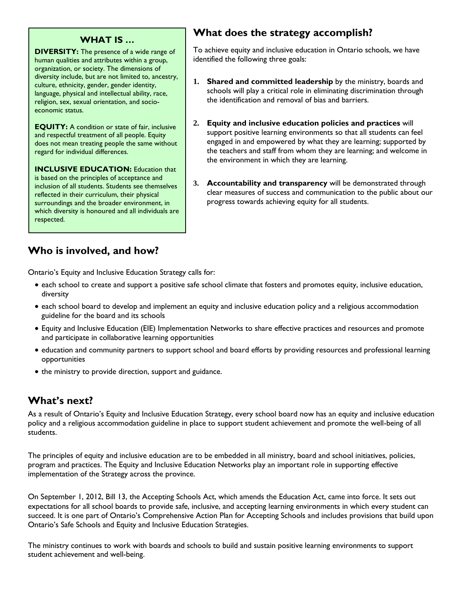#### **WHAT IS …**

**DIVERSITY:** The presence of a wide range of human qualities and attributes within a group, organization, or society. The dimensions of diversity include, but are not limited to, ancestry, culture, ethnicity, gender, gender identity, language, physical and intellectual ability, race, religion, sex, sexual orientation, and socioeconomic status.

**EQUITY:** A condition or state of fair, inclusive and respectful treatment of all people. Equity does not mean treating people the same without regard for individual differences.

**INCLUSIVE EDUCATION: Education that** is based on the principles of acceptance and inclusion of all students. Students see themselves reflected in their curriculum, their physical surroundings and the broader environment, in which diversity is honoured and all individuals are respected.

## **What does the strategy accomplish?**

To achieve equity and inclusive education in Ontario schools, we have identified the following three goals:

- **1. Shared and committed leadership** by the ministry, boards and schools will play a critical role in eliminating discrimination through the identification and removal of bias and barriers.
- **2. Equity and inclusive education policies and practices** will support positive learning environments so that all students can feel engaged in and empowered by what they are learning; supported by the teachers and staff from whom they are learning; and welcome in the environment in which they are learning.
- **3. Accountability and transparency** will be demonstrated through clear measures of success and communication to the public about our progress towards achieving equity for all students.

## **Who is involved, and how?**

Ontario's Equity and Inclusive Education Strategy calls for:

- each school to create and support a positive safe school climate that fosters and promotes equity, inclusive education, diversity
- each school board to develop and implement an equity and inclusive education policy and a religious accommodation guideline for the board and its schools
- Equity and Inclusive Education (EIE) Implementation Networks to share effective practices and resources and promote and participate in collaborative learning opportunities
- education and community partners to support school and board efforts by providing resources and professional learning opportunities
- the ministry to provide direction, support and guidance.

## **What's next?**

As a result of Ontario's Equity and Inclusive Education Strategy, every school board now has an equity and inclusive education policy and a religious accommodation guideline in place to support student achievement and promote the well-being of all students.

The principles of equity and inclusive education are to be embedded in all ministry, board and school initiatives, policies, program and practices. The Equity and Inclusive Education Networks play an important role in supporting effective implementation of the Strategy across the province.

On September 1, 2012, Bill 13, the Accepting Schools Act, which amends the Education Act, came into force. It sets out expectations for all school boards to provide safe, inclusive, and accepting learning environments in which every student can succeed. It is one part of Ontario's Comprehensive Action Plan for Accepting Schools and includes provisions that build upon Ontario's Safe Schools and Equity and Inclusive Education Strategies.

The ministry continues to work with boards and schools to build and sustain positive learning environments to support student achievement and well-being.